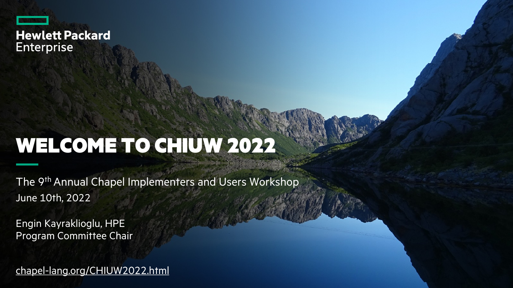

# [WELCOME TO CH](https://chapel-lang.org/CHIUW2021.html)IUW 2022

The 9<sup>th</sup> Annual Chapel Implementers and Users Workshop June 10th, 2022

Engin Kayraklioglu, HPE Program Committee Chair

chapel-lang.org/CHIUW2022.html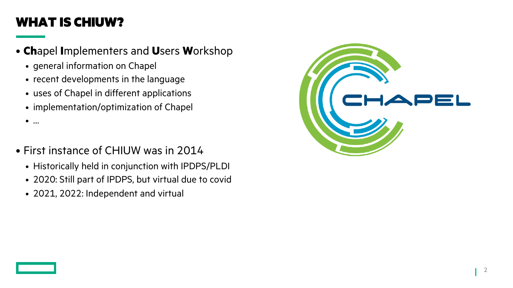## WHAT IS CHIUW?

- **Ch**apel **I**mplementers and **U**sers **W**orkshop
	- general information on Chapel
	- recent developments in the language
	- uses of Chapel in different applications
	- implementation/optimization of Chapel
	- …
- First instance of CHIUW was in 2014
	- Historically held in conjunction with IPDPS/PLDI
	- 2020: Still part of IPDPS, but virtual due to covid
	- 2021, 2022: Independent and virtual

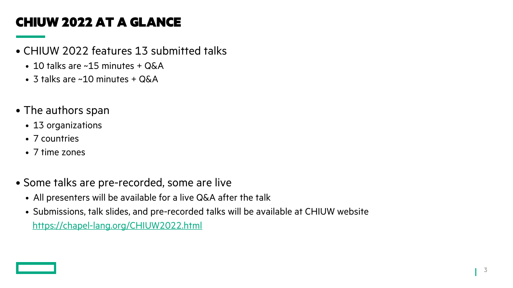# CHIUW 2022 AT A GLANCE

- CHIUW 2022 features 13 submitted talks
	- 10 talks are ~15 minutes + Q&A
	- 3 talks are ~10 minutes + Q&A
- The authors span
	- 13 organizations
	- 7 countries
	- 7 time zones
- Some talks are pre-recorded, some are live
	- All presenters will be available for a live Q&A after the talk
	- Submissions, talk slides, and pre-recorded talks will be available at CHIU https://chapel-lang.org/CHIUW2022.html

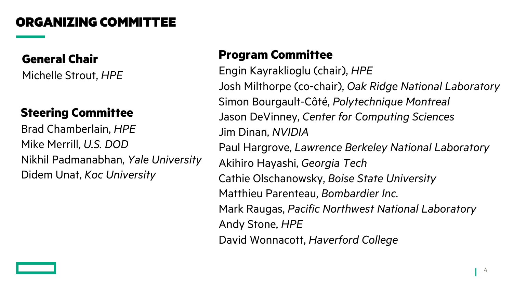#### ORGANIZING COMMITTEE

#### **General Chair**

Michelle Strout, *HPE*

#### **Steering Committee**

Brad Chamberlain, *HPE* Mike Merrill, *U.S. DOD* Nikhil Padmanabhan, *Yale University* Didem Unat, *Koc University*

#### **Program Committee**

Engin Kayraklioglu (chair), *HPE* Josh Milthorpe (co-chair), *Oak Ridge National Laboratory* Simon Bourgault-Côté, *Polytechnique Montreal* Jason DeVinney, *Center for Computing Sciences* Jim Dinan, *NVIDIA* Paul Hargrove, *Lawrence Berkeley National Laboratory* Akihiro Hayashi, *Georgia Tech* Cathie Olschanowsky, *Boise State University* Matthieu Parenteau, *Bombardier Inc.* Mark Raugas, *Pacific Northwest National Laboratory* Andy Stone, *HPE*

David Wonnacott, *Haverford College*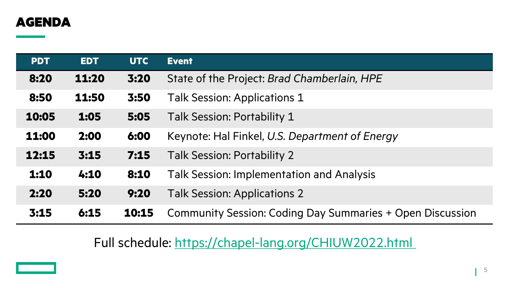#### AGENDA

| <b>PDT</b> | <b>EDT</b> | <b>UTC</b> | <b>Event</b>                         |
|------------|------------|------------|--------------------------------------|
| 8:20       | 11:20      | 3:20       | State of the Project: Brad Chamb     |
| 8:50       | 11:50      | 3:50       | <b>Talk Session: Applications 1</b>  |
| 10:05      | 1:05       | 5:05       | Talk Session: Portability 1          |
| 11:00      | 2:00       | 6:00       | Keynote: Hal Finkel, U.S. Departn    |
| 12:15      | 3:15       | 7:15       | <b>Talk Session: Portability 2</b>   |
| 1:10       | 4:10       | 8:10       | Talk Session: Implementation and     |
| 2:20       | 5:20       | 9:20       | <b>Talk Session: Applications 2</b>  |
| 3:15       | 6:15       | 10:15      | <b>Community Session: Coding Day</b> |

Full schedule: https://chapel-lang.org/CH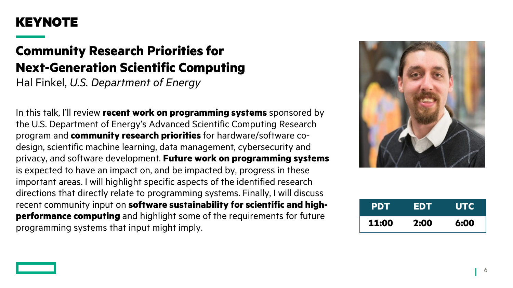#### KEYNOTE

## **Community Research Priorities for Next-Generation Scientific Computing**

Hal Finkel, *U.S. Department of Energy*

In this talk, I'll review **recent work on programming systems** sponsored by the U.S. Department of Energy's Advanced Scientific Computing Research program and **community research priorities** for hardware/software codesign, scientific machine learning, data management, cybersecurity and privacy, and software development. **Future work on programming systems**  is expected to have an impact on, and be impacted by, progress in these important areas. I will highlight specific aspects of the identified research directions that directly relate to programming systems. Finally, I will discuss recent community input on **software sustainability for scientific and highperformance computing** and highlight some of the requirements for future programming systems that input might imply.



| <b>PDT</b> | EDT  | <b>UTC</b> |
|------------|------|------------|
| 11:00      | 2:00 | 6:00       |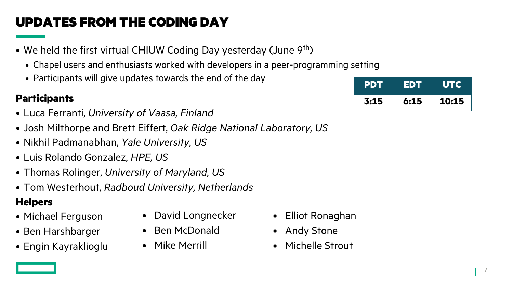# UPDATES FROM THE CODING DAY

- We held the first virtual CHIUW Coding Day yesterday (June 9<sup>th</sup>)
	- Chapel users and enthusiasts worked with developers in a peer-programming setting
	- Participants will give updates towards the end of the day

- Luca Ferranti, *University of Vaasa, Finland*
- Josh Milthorpe and Brett Eiffert, *Oak Ridge National Laboratory, US*
- Nikhil Padmanabhan, *Yale University, US*
- Luis Rolando Gonzalez, *HPE, US*
- Thomas Rolinger, *University of Maryland, US*
- Tom Westerhout, *Radboud University, Netherlands*

#### **Helpers**

- Michael Ferguson
- Ben Harshbarger
- Engin Kayraklioglu
- David Longnecker
- Ben McDonald
- Mike Merrill

| • Participants will give updates fowards the end of the day | <b>PDT EDT</b> |      | <b>UTC</b> |
|-------------------------------------------------------------|----------------|------|------------|
| Participants                                                | 3:15           | 6:15 | 10:15      |

- Elliot Ronaghan
- Andy Stone
- Michelle Strout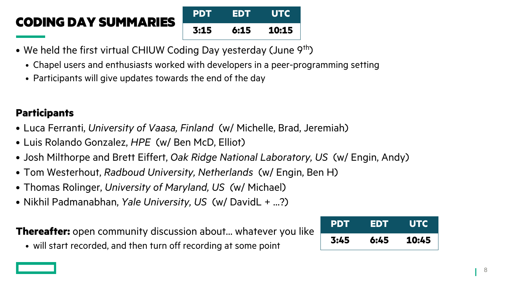# CODING DAY SUMMARIES



- We held the first virtual CHIUW Coding Day yesterday (June 9<sup>th</sup>)
	- Chapel users and enthusiasts worked with developers in a peer-programming setting
	- Participants will give updates towards the end of the day

#### **Participants**

- Luca Ferranti, *University of Vaasa, Finland* (w/ Michelle, Brad, Jeremiah)
- Luis Rolando Gonzalez, *HPE* (w/ Ben McD, Elliot)
- Josh Milthorpe and Brett Eiffert, *Oak Ridge National Laboratory, US* (w/ Engin, Andy)
- Tom Westerhout, *Radboud University, Netherlands* (w/ Engin, Ben H)
- Thomas Rolinger, *University of Maryland, US (*w/ Michael)
- Nikhil Padmanabhan, *Yale University, US* (w/ DavidL + …?)

#### **Thereafter:** open community discussion about… whatever you like

• will start recorded, and then turn off recording at some point

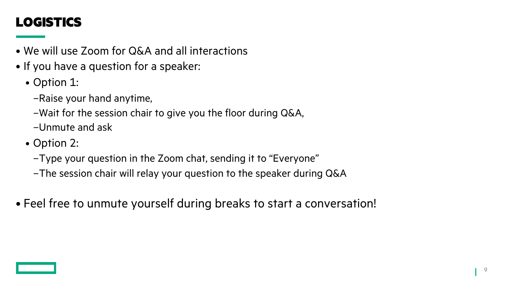# LOGISTICS

- We will use Zoom for Q&A and all interactions
- If you have a question for a speaker:
	- Option 1:
		- –Raise your hand anytime,
		- –Wait for the session chair to give you the floor during Q&A,
		- –Unmute and ask
	- Option 2:
		- –Type your question in the Zoom chat, sending it to "Everyone"
		- –The session chair will relay your question to the speaker during Q&A
- Feel free to unmute yourself during breaks to start a conversation!